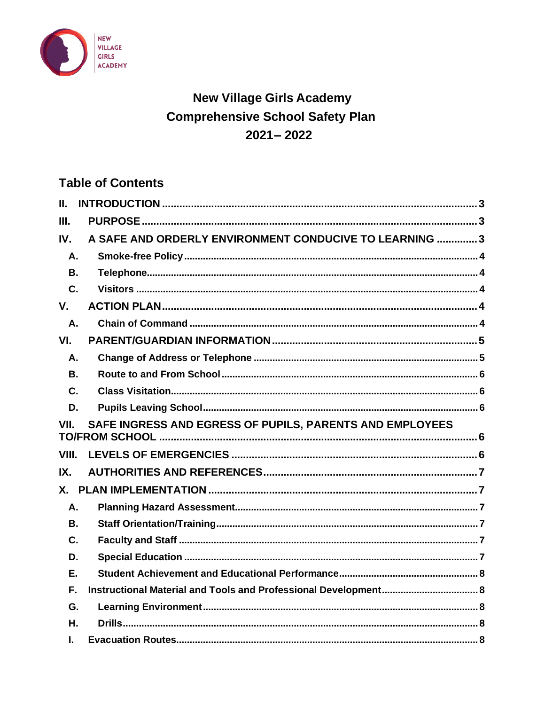

# **New Village Girls Academy Comprehensive School Safety Plan**  $2021 - 2022$

## **Table of Contents**

| II.                                                              |                                                                 |  |
|------------------------------------------------------------------|-----------------------------------------------------------------|--|
| III.                                                             |                                                                 |  |
| IV.                                                              | A SAFE AND ORDERLY ENVIRONMENT CONDUCIVE TO LEARNING 3          |  |
| А.                                                               |                                                                 |  |
| В.                                                               |                                                                 |  |
| $\mathbf{C}$ .                                                   |                                                                 |  |
| $V_{\cdot}$                                                      |                                                                 |  |
| A.                                                               |                                                                 |  |
| VI.                                                              |                                                                 |  |
| Α.                                                               |                                                                 |  |
| В.                                                               |                                                                 |  |
| C.                                                               |                                                                 |  |
| D.                                                               |                                                                 |  |
| SAFE INGRESS AND EGRESS OF PUPILS, PARENTS AND EMPLOYEES<br>VII. |                                                                 |  |
|                                                                  |                                                                 |  |
| VIII.                                                            |                                                                 |  |
| IX.                                                              |                                                                 |  |
| $X_{-}$                                                          |                                                                 |  |
| Α.                                                               |                                                                 |  |
| В.                                                               |                                                                 |  |
| C.                                                               |                                                                 |  |
| D.                                                               |                                                                 |  |
| Ε.                                                               |                                                                 |  |
| F.                                                               | Instructional Material and Tools and Professional Development 8 |  |
| G.                                                               |                                                                 |  |
| Η.                                                               |                                                                 |  |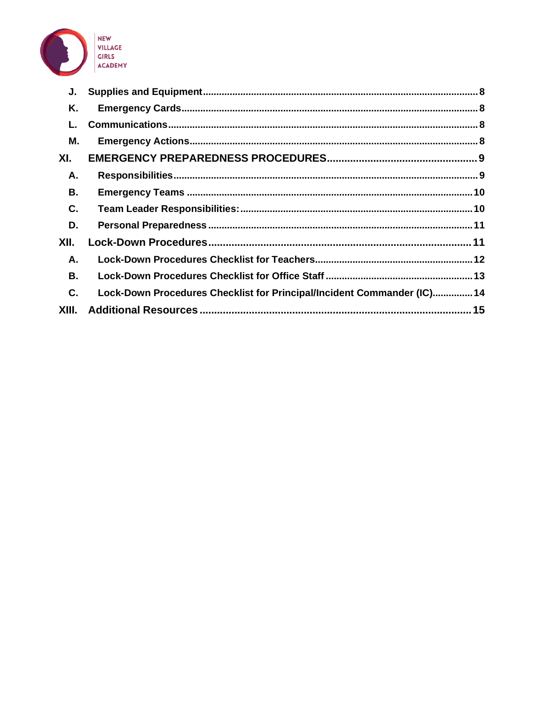

| J.        |                                                                         |  |
|-----------|-------------------------------------------------------------------------|--|
| Κ.        |                                                                         |  |
| L.        |                                                                         |  |
| Μ.        |                                                                         |  |
| XI.       |                                                                         |  |
| Α.        |                                                                         |  |
| В.        |                                                                         |  |
| C.        |                                                                         |  |
| D.        |                                                                         |  |
| XII.      |                                                                         |  |
| Α.        |                                                                         |  |
| <b>B.</b> |                                                                         |  |
| C.        | Lock-Down Procedures Checklist for Principal/Incident Commander (IC) 14 |  |
| XIII.     |                                                                         |  |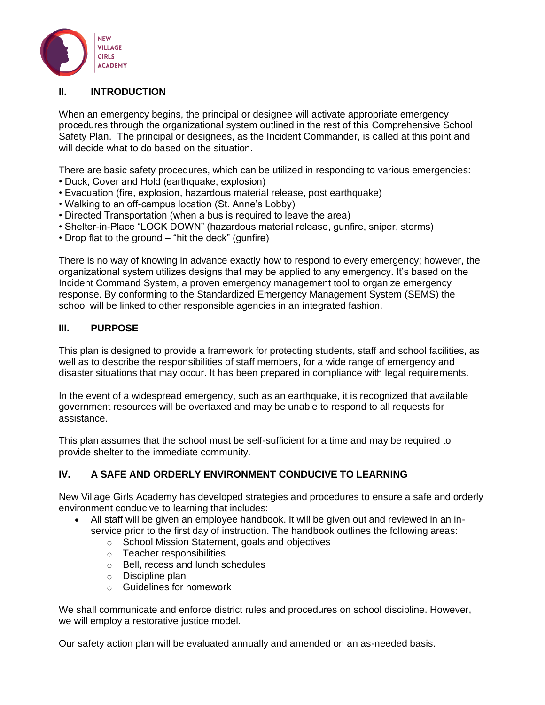

#### <span id="page-2-0"></span>**II. INTRODUCTION**

When an emergency begins, the principal or designee will activate appropriate emergency procedures through the organizational system outlined in the rest of this Comprehensive School Safety Plan. The principal or designees, as the Incident Commander, is called at this point and will decide what to do based on the situation.

There are basic safety procedures, which can be utilized in responding to various emergencies:

- Duck, Cover and Hold (earthquake, explosion)
- Evacuation (fire, explosion, hazardous material release, post earthquake)
- Walking to an off-campus location (St. Anne's Lobby)
- Directed Transportation (when a bus is required to leave the area)
- Shelter-in-Place "LOCK DOWN" (hazardous material release, gunfire, sniper, storms)
- Drop flat to the ground "hit the deck" (gunfire)

There is no way of knowing in advance exactly how to respond to every emergency; however, the organizational system utilizes designs that may be applied to any emergency. It's based on the Incident Command System, a proven emergency management tool to organize emergency response. By conforming to the Standardized Emergency Management System (SEMS) the school will be linked to other responsible agencies in an integrated fashion.

#### <span id="page-2-1"></span>**III. PURPOSE**

This plan is designed to provide a framework for protecting students, staff and school facilities, as well as to describe the responsibilities of staff members, for a wide range of emergency and disaster situations that may occur. It has been prepared in compliance with legal requirements.

In the event of a widespread emergency, such as an earthquake, it is recognized that available government resources will be overtaxed and may be unable to respond to all requests for assistance.

This plan assumes that the school must be self-sufficient for a time and may be required to provide shelter to the immediate community.

## <span id="page-2-2"></span>**IV. A SAFE AND ORDERLY ENVIRONMENT CONDUCIVE TO LEARNING**

New Village Girls Academy has developed strategies and procedures to ensure a safe and orderly environment conducive to learning that includes:

- All staff will be given an employee handbook. It will be given out and reviewed in an inservice prior to the first day of instruction. The handbook outlines the following areas:
	- o School Mission Statement, goals and objectives
	- o Teacher responsibilities
	- o Bell, recess and lunch schedules
	- o Discipline plan
	- o Guidelines for homework

We shall communicate and enforce district rules and procedures on school discipline. However, we will employ a restorative justice model.

Our safety action plan will be evaluated annually and amended on an as-needed basis.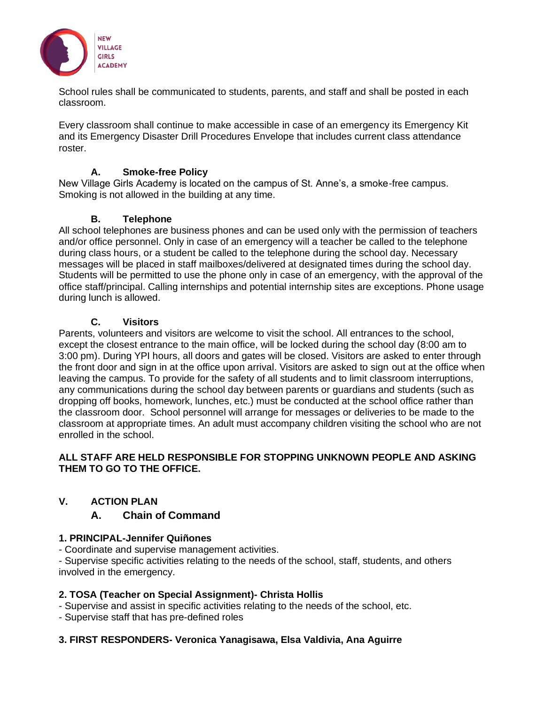

School rules shall be communicated to students, parents, and staff and shall be posted in each classroom.

Every classroom shall continue to make accessible in case of an emergency its Emergency Kit and its Emergency Disaster Drill Procedures Envelope that includes current class attendance roster.

## **A. Smoke-free Policy**

<span id="page-3-0"></span>New Village Girls Academy is located on the campus of St. Anne's, a smoke-free campus. Smoking is not allowed in the building at any time.

#### **B. Telephone**

<span id="page-3-1"></span>All school telephones are business phones and can be used only with the permission of teachers and/or office personnel. Only in case of an emergency will a teacher be called to the telephone during class hours, or a student be called to the telephone during the school day. Necessary messages will be placed in staff mailboxes/delivered at designated times during the school day. Students will be permitted to use the phone only in case of an emergency, with the approval of the office staff/principal. Calling internships and potential internship sites are exceptions. Phone usage during lunch is allowed.

#### **C. Visitors**

<span id="page-3-2"></span>Parents, volunteers and visitors are welcome to visit the school. All entrances to the school, except the closest entrance to the main office, will be locked during the school day (8:00 am to 3:00 pm). During YPI hours, all doors and gates will be closed. Visitors are asked to enter through the front door and sign in at the office upon arrival. Visitors are asked to sign out at the office when leaving the campus. To provide for the safety of all students and to limit classroom interruptions, any communications during the school day between parents or guardians and students (such as dropping off books, homework, lunches, etc.) must be conducted at the school office rather than the classroom door. School personnel will arrange for messages or deliveries to be made to the classroom at appropriate times. An adult must accompany children visiting the school who are not enrolled in the school.

#### **ALL STAFF ARE HELD RESPONSIBLE FOR STOPPING UNKNOWN PEOPLE AND ASKING THEM TO GO TO THE OFFICE.**

## <span id="page-3-4"></span><span id="page-3-3"></span>**V. ACTION PLAN**

## **A. Chain of Command**

## **1. PRINCIPAL-Jennifer Quiñones**

- Coordinate and supervise management activities.

- Supervise specific activities relating to the needs of the school, staff, students, and others involved in the emergency.

## **2. TOSA (Teacher on Special Assignment)- Christa Hollis**

- Supervise and assist in specific activities relating to the needs of the school, etc.
- Supervise staff that has pre-defined roles

## **3. FIRST RESPONDERS- Veronica Yanagisawa, Elsa Valdivia, Ana Aguirre**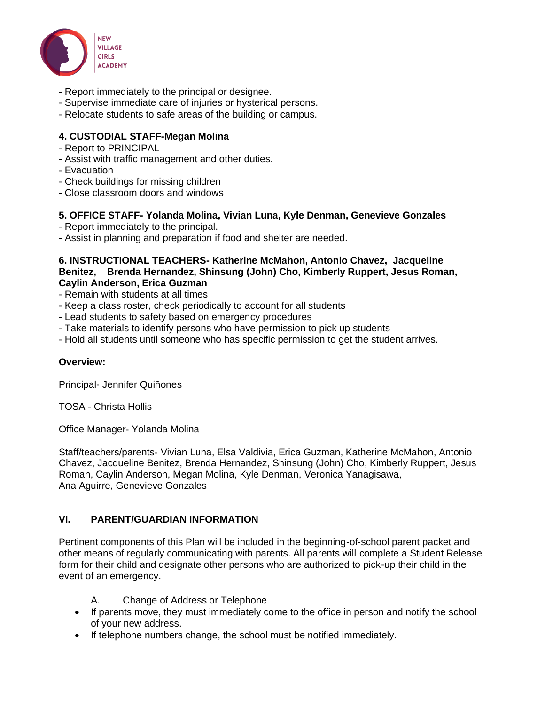

- Report immediately to the principal or designee.
- Supervise immediate care of injuries or hysterical persons.
- Relocate students to safe areas of the building or campus.

#### **4. CUSTODIAL STAFF-Megan Molina**

- Report to PRINCIPAL
- Assist with traffic management and other duties.
- Evacuation
- Check buildings for missing children
- Close classroom doors and windows

#### **5. OFFICE STAFF- Yolanda Molina, Vivian Luna, Kyle Denman, Genevieve Gonzales**

- Report immediately to the principal.
- Assist in planning and preparation if food and shelter are needed.

#### **6. INSTRUCTIONAL TEACHERS- Katherine McMahon, Antonio Chavez, Jacqueline Benitez, Brenda Hernandez, Shinsung (John) Cho, Kimberly Ruppert, Jesus Roman, Caylin Anderson, Erica Guzman**

- Remain with students at all times
- Keep a class roster, check periodically to account for all students
- Lead students to safety based on emergency procedures
- Take materials to identify persons who have permission to pick up students
- Hold all students until someone who has specific permission to get the student arrives.

#### **Overview:**

Principal- Jennifer Quiñones

TOSA - Christa Hollis

Office Manager- Yolanda Molina

Staff/teachers/parents- Vivian Luna, Elsa Valdivia, Erica Guzman, Katherine McMahon, Antonio Chavez, Jacqueline Benitez, Brenda Hernandez, Shinsung (John) Cho, Kimberly Ruppert, Jesus Roman, Caylin Anderson, Megan Molina, Kyle Denman, Veronica Yanagisawa, Ana Aguirre, Genevieve Gonzales

## <span id="page-4-0"></span>**VI. PARENT/GUARDIAN INFORMATION**

Pertinent components of this Plan will be included in the beginning-of-school parent packet and other means of regularly communicating with parents. All parents will complete a Student Release form for their child and designate other persons who are authorized to pick-up their child in the event of an emergency.

- A. Change of Address or Telephone
- <span id="page-4-1"></span>• If parents move, they must immediately come to the office in person and notify the school of your new address.
- If telephone numbers change, the school must be notified immediately.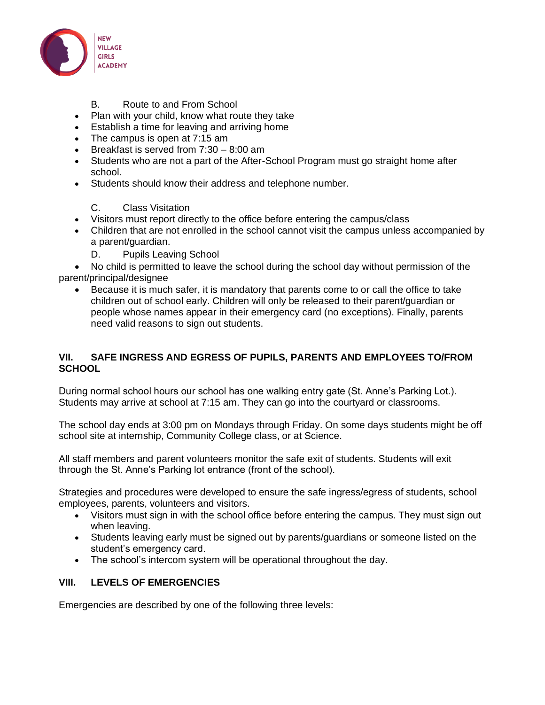

#### B. Route to and From School

- <span id="page-5-0"></span>• Plan with your child, know what route they take
- Establish a time for leaving and arriving home
- The campus is open at 7:15 am
- Breakfast is served from 7:30 8:00 am
- Students who are not a part of the After-School Program must go straight home after school.
- Students should know their address and telephone number.

#### C. Class Visitation

- <span id="page-5-1"></span>• Visitors must report directly to the office before entering the campus/class
- Children that are not enrolled in the school cannot visit the campus unless accompanied by a parent/guardian.
	- D. Pupils Leaving School

<span id="page-5-2"></span>• No child is permitted to leave the school during the school day without permission of the parent/principal/designee

• Because it is much safer, it is mandatory that parents come to or call the office to take children out of school early. Children will only be released to their parent/guardian or people whose names appear in their emergency card (no exceptions). Finally, parents need valid reasons to sign out students.

#### <span id="page-5-3"></span>**VII. SAFE INGRESS AND EGRESS OF PUPILS, PARENTS AND EMPLOYEES TO/FROM SCHOOL**

During normal school hours our school has one walking entry gate (St. Anne's Parking Lot.). Students may arrive at school at 7:15 am. They can go into the courtyard or classrooms.

The school day ends at 3:00 pm on Mondays through Friday. On some days students might be off school site at internship, Community College class, or at Science.

All staff members and parent volunteers monitor the safe exit of students. Students will exit through the St. Anne's Parking lot entrance (front of the school).

Strategies and procedures were developed to ensure the safe ingress/egress of students, school employees, parents, volunteers and visitors.

- Visitors must sign in with the school office before entering the campus. They must sign out when leaving.
- Students leaving early must be signed out by parents/guardians or someone listed on the student's emergency card.
- The school's intercom system will be operational throughout the day.

## <span id="page-5-4"></span>**VIII. LEVELS OF EMERGENCIES**

Emergencies are described by one of the following three levels: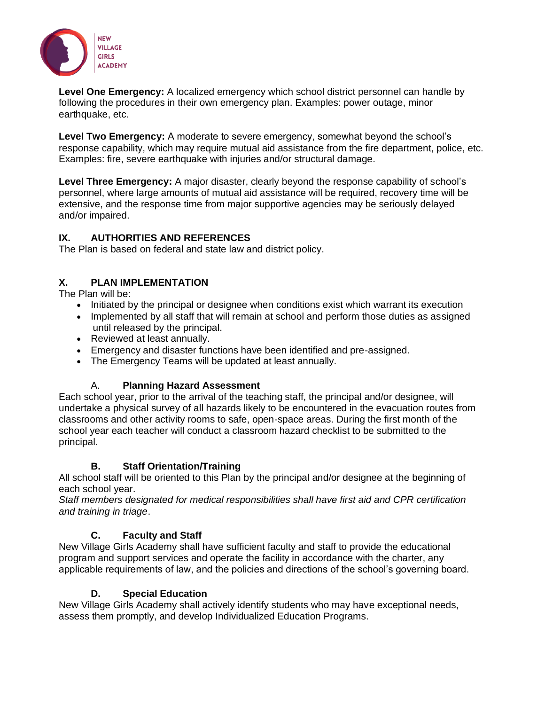

**Level One Emergency:** A localized emergency which school district personnel can handle by following the procedures in their own emergency plan. Examples: power outage, minor earthquake, etc.

**Level Two Emergency:** A moderate to severe emergency, somewhat beyond the school's response capability, which may require mutual aid assistance from the fire department, police, etc. Examples: fire, severe earthquake with injuries and/or structural damage.

**Level Three Emergency:** A major disaster, clearly beyond the response capability of school's personnel, where large amounts of mutual aid assistance will be required, recovery time will be extensive, and the response time from major supportive agencies may be seriously delayed and/or impaired.

## <span id="page-6-0"></span>**IX. AUTHORITIES AND REFERENCES**

The Plan is based on federal and state law and district policy.

## <span id="page-6-1"></span>**X. PLAN IMPLEMENTATION**

The Plan will be:

- Initiated by the principal or designee when conditions exist which warrant its execution
- Implemented by all staff that will remain at school and perform those duties as assigned until released by the principal.
- Reviewed at least annually.
- Emergency and disaster functions have been identified and pre-assigned.
- The Emergency Teams will be updated at least annually.

## A. **Planning Hazard Assessment**

<span id="page-6-2"></span>Each school year, prior to the arrival of the teaching staff, the principal and/or designee, will undertake a physical survey of all hazards likely to be encountered in the evacuation routes from classrooms and other activity rooms to safe, open-space areas. During the first month of the school year each teacher will conduct a classroom hazard checklist to be submitted to the principal.

## **B. Staff Orientation/Training**

<span id="page-6-3"></span>All school staff will be oriented to this Plan by the principal and/or designee at the beginning of each school year.

*Staff members designated for medical responsibilities shall have first aid and CPR certification and training in triage*.

## **C. Faculty and Staff**

<span id="page-6-4"></span>New Village Girls Academy shall have sufficient faculty and staff to provide the educational program and support services and operate the facility in accordance with the charter, any applicable requirements of law, and the policies and directions of the school's governing board.

## **D. Special Education**

<span id="page-6-5"></span>New Village Girls Academy shall actively identify students who may have exceptional needs, assess them promptly, and develop Individualized Education Programs.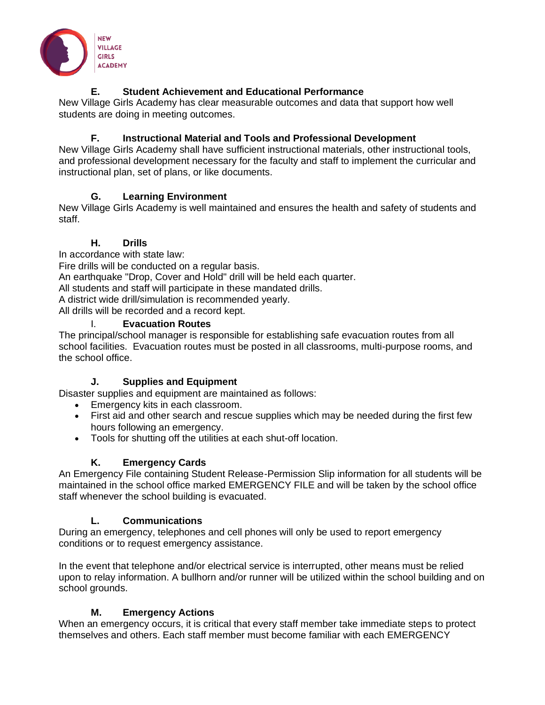

## **E. Student Achievement and Educational Performance**

<span id="page-7-0"></span>New Village Girls Academy has clear measurable outcomes and data that support how well students are doing in meeting outcomes.

## **F. Instructional Material and Tools and Professional Development**

<span id="page-7-1"></span>New Village Girls Academy shall have sufficient instructional materials, other instructional tools, and professional development necessary for the faculty and staff to implement the curricular and instructional plan, set of plans, or like documents.

## **G. Learning Environment**

<span id="page-7-2"></span>New Village Girls Academy is well maintained and ensures the health and safety of students and staff.

## **H. Drills**

<span id="page-7-3"></span>In accordance with state law: Fire drills will be conducted on a regular basis. An earthquake "Drop, Cover and Hold" drill will be held each quarter. All students and staff will participate in these mandated drills. A district wide drill/simulation is recommended yearly. All drills will be recorded and a record kept. I. **Evacuation Routes**

<span id="page-7-4"></span>The principal/school manager is responsible for establishing safe evacuation routes from all school facilities. Evacuation routes must be posted in all classrooms, multi-purpose rooms, and the school office.

## **J. Supplies and Equipment**

<span id="page-7-5"></span>Disaster supplies and equipment are maintained as follows:

- Emergency kits in each classroom.
- First aid and other search and rescue supplies which may be needed during the first few hours following an emergency.
- Tools for shutting off the utilities at each shut-off location.

## **K. Emergency Cards**

<span id="page-7-6"></span>An Emergency File containing Student Release-Permission Slip information for all students will be maintained in the school office marked EMERGENCY FILE and will be taken by the school office staff whenever the school building is evacuated.

## **L. Communications**

<span id="page-7-7"></span>During an emergency, telephones and cell phones will only be used to report emergency conditions or to request emergency assistance.

In the event that telephone and/or electrical service is interrupted, other means must be relied upon to relay information. A bullhorn and/or runner will be utilized within the school building and on school grounds.

## **M. Emergency Actions**

<span id="page-7-8"></span>When an emergency occurs, it is critical that every staff member take immediate steps to protect themselves and others. Each staff member must become familiar with each EMERGENCY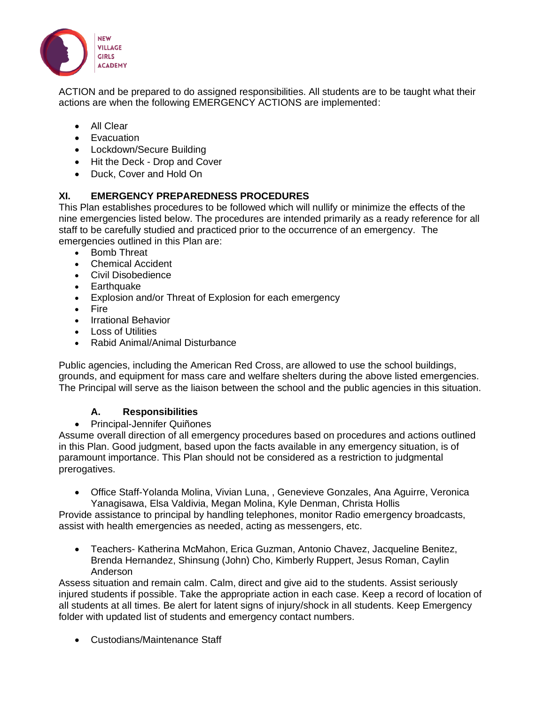

ACTION and be prepared to do assigned responsibilities. All students are to be taught what their actions are when the following EMERGENCY ACTIONS are implemented:

- All Clear
- Evacuation
- Lockdown/Secure Building
- Hit the Deck Drop and Cover
- Duck, Cover and Hold On

## <span id="page-8-0"></span>**XI. EMERGENCY PREPAREDNESS PROCEDURES**

This Plan establishes procedures to be followed which will nullify or minimize the effects of the nine emergencies listed below. The procedures are intended primarily as a ready reference for all staff to be carefully studied and practiced prior to the occurrence of an emergency. The emergencies outlined in this Plan are:

- Bomb Threat
- Chemical Accident
- Civil Disobedience
- Earthquake
- Explosion and/or Threat of Explosion for each emergency
- Fire
- Irrational Behavior
- Loss of Utilities
- Rabid Animal/Animal Disturbance

Public agencies, including the American Red Cross, are allowed to use the school buildings, grounds, and equipment for mass care and welfare shelters during the above listed emergencies. The Principal will serve as the liaison between the school and the public agencies in this situation.

#### **A. Responsibilities**

<span id="page-8-1"></span>• Principal-Jennifer Quiñones

Assume overall direction of all emergency procedures based on procedures and actions outlined in this Plan. Good judgment, based upon the facts available in any emergency situation, is of paramount importance. This Plan should not be considered as a restriction to judgmental prerogatives.

• Office Staff-Yolanda Molina, Vivian Luna, , Genevieve Gonzales, Ana Aguirre, Veronica Yanagisawa, Elsa Valdivia, Megan Molina, Kyle Denman, Christa Hollis

Provide assistance to principal by handling telephones, monitor Radio emergency broadcasts, assist with health emergencies as needed, acting as messengers, etc.

• Teachers- Katherina McMahon, Erica Guzman, Antonio Chavez, Jacqueline Benitez, Brenda Hernandez, Shinsung (John) Cho, Kimberly Ruppert, Jesus Roman, Caylin Anderson

Assess situation and remain calm. Calm, direct and give aid to the students. Assist seriously injured students if possible. Take the appropriate action in each case. Keep a record of location of all students at all times. Be alert for latent signs of injury/shock in all students. Keep Emergency folder with updated list of students and emergency contact numbers.

• Custodians/Maintenance Staff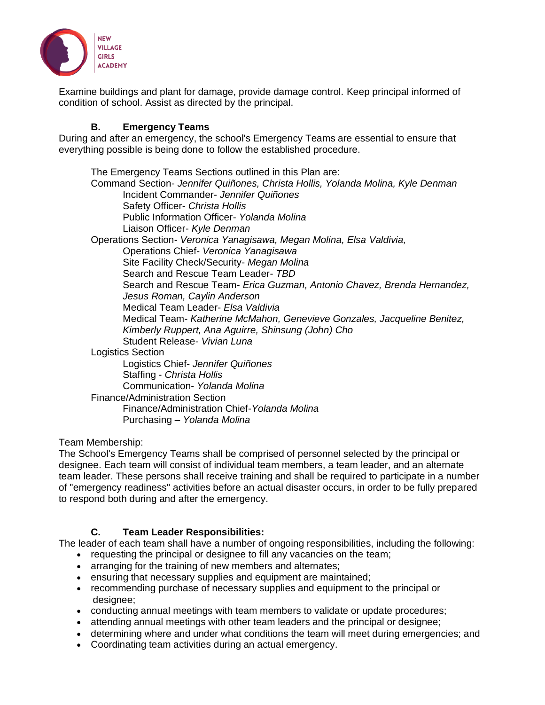

Examine buildings and plant for damage, provide damage control. Keep principal informed of condition of school. Assist as directed by the principal.

#### **B. Emergency Teams**

<span id="page-9-0"></span>During and after an emergency, the school's Emergency Teams are essential to ensure that everything possible is being done to follow the established procedure.

The Emergency Teams Sections outlined in this Plan are: Command Section- *Jennifer Quiñones, Christa Hollis, Yolanda Molina, Kyle Denman* Incident Commander- *Jennifer Quiñones* Safety Officer- *Christa Hollis* Public Information Officer- *Yolanda Molina* Liaison Officer- *Kyle Denman* Operations Section- *Veronica Yanagisawa, Megan Molina, Elsa Valdivia,* Operations Chief- *Veronica Yanagisawa* Site Facility Check/Security- *Megan Molina* Search and Rescue Team Leader- *TBD* Search and Rescue Team- *Erica Guzman, Antonio Chavez, Brenda Hernandez, Jesus Roman, Caylin Anderson* Medical Team Leader- *Elsa Valdivia* Medical Team- *Katherine McMahon, Genevieve Gonzales, Jacqueline Benitez, Kimberly Ruppert, Ana Aguirre, Shinsung (John) Cho* Student Release- *Vivian Luna* Logistics Section Logistics Chief- *Jennifer Quiñones* Staffing - *Christa Hollis* Communication- *Yolanda Molina* Finance/Administration Section Finance/Administration Chief-*Yolanda Molina* Purchasing – *Yolanda Molina*

Team Membership:

The School's Emergency Teams shall be comprised of personnel selected by the principal or designee. Each team will consist of individual team members, a team leader, and an alternate team leader. These persons shall receive training and shall be required to participate in a number of "emergency readiness" activities before an actual disaster occurs, in order to be fully prepared to respond both during and after the emergency.

#### **C. Team Leader Responsibilities:**

<span id="page-9-1"></span>The leader of each team shall have a number of ongoing responsibilities, including the following:

- requesting the principal or designee to fill any vacancies on the team;
- arranging for the training of new members and alternates;
- ensuring that necessary supplies and equipment are maintained;
- recommending purchase of necessary supplies and equipment to the principal or designee;
- conducting annual meetings with team members to validate or update procedures;
- attending annual meetings with other team leaders and the principal or designee;
- determining where and under what conditions the team will meet during emergencies; and
- Coordinating team activities during an actual emergency.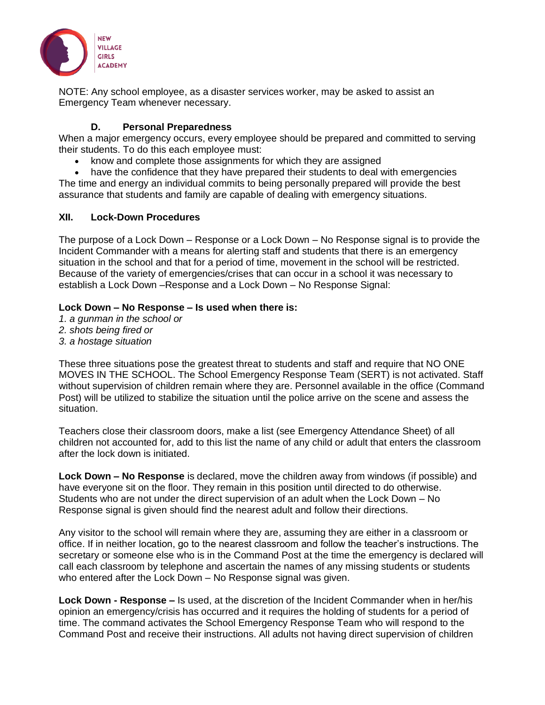

NOTE: Any school employee, as a disaster services worker, may be asked to assist an Emergency Team whenever necessary.

#### **D. Personal Preparedness**

<span id="page-10-0"></span>When a major emergency occurs, every employee should be prepared and committed to serving their students. To do this each employee must:

- know and complete those assignments for which they are assigned
- have the confidence that they have prepared their students to deal with emergencies

The time and energy an individual commits to being personally prepared will provide the best assurance that students and family are capable of dealing with emergency situations.

#### <span id="page-10-1"></span>**XII. Lock-Down Procedures**

The purpose of a Lock Down – Response or a Lock Down – No Response signal is to provide the Incident Commander with a means for alerting staff and students that there is an emergency situation in the school and that for a period of time, movement in the school will be restricted. Because of the variety of emergencies/crises that can occur in a school it was necessary to establish a Lock Down –Response and a Lock Down – No Response Signal:

#### **Lock Down – No Response – Is used when there is:**

- *1. a gunman in the school or*
- *2. shots being fired or*
- *3. a hostage situation*

These three situations pose the greatest threat to students and staff and require that NO ONE MOVES IN THE SCHOOL. The School Emergency Response Team (SERT) is not activated. Staff without supervision of children remain where they are. Personnel available in the office (Command Post) will be utilized to stabilize the situation until the police arrive on the scene and assess the situation.

Teachers close their classroom doors, make a list (see Emergency Attendance Sheet) of all children not accounted for, add to this list the name of any child or adult that enters the classroom after the lock down is initiated.

**Lock Down – No Response** is declared, move the children away from windows (if possible) and have everyone sit on the floor. They remain in this position until directed to do otherwise. Students who are not under the direct supervision of an adult when the Lock Down – No Response signal is given should find the nearest adult and follow their directions.

Any visitor to the school will remain where they are, assuming they are either in a classroom or office. If in neither location, go to the nearest classroom and follow the teacher's instructions. The secretary or someone else who is in the Command Post at the time the emergency is declared will call each classroom by telephone and ascertain the names of any missing students or students who entered after the Lock Down – No Response signal was given.

**Lock Down - Response –** Is used, at the discretion of the Incident Commander when in her/his opinion an emergency/crisis has occurred and it requires the holding of students for a period of time. The command activates the School Emergency Response Team who will respond to the Command Post and receive their instructions. All adults not having direct supervision of children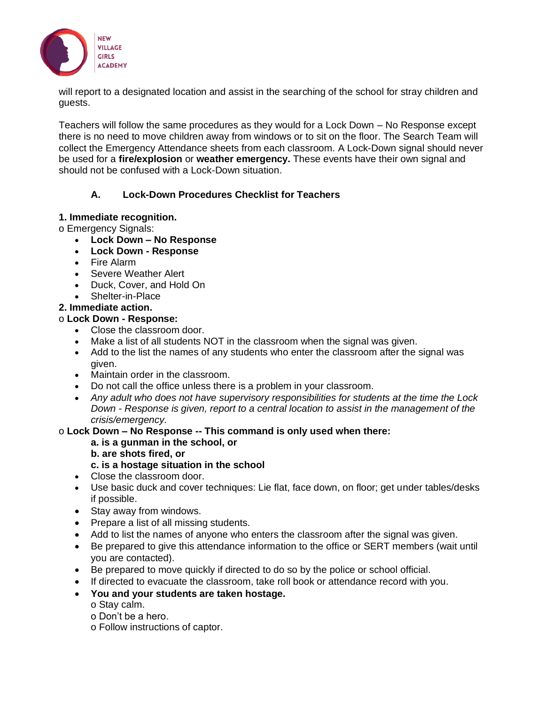

will report to a designated location and assist in the searching of the school for stray children and guests.

Teachers will follow the same procedures as they would for a Lock Down – No Response except there is no need to move children away from windows or to sit on the floor. The Search Team will collect the Emergency Attendance sheets from each classroom. A Lock-Down signal should never be used for a **fire/explosion** or **weather emergency.** These events have their own signal and should not be confused with a Lock-Down situation.

#### **A. Lock-Down Procedures Checklist for Teachers**

#### <span id="page-11-0"></span>**1. Immediate recognition.**

o Emergency Signals:

- **Lock Down – No Response**
- **Lock Down - Response**
- Fire Alarm
- Severe Weather Alert
- Duck, Cover, and Hold On
- Shelter-in-Place

#### **2. Immediate action.**

#### o **Lock Down - Response:**

- Close the classroom door.
- Make a list of all students NOT in the classroom when the signal was given.
- Add to the list the names of any students who enter the classroom after the signal was given.
- Maintain order in the classroom.
- Do not call the office unless there is a problem in your classroom.
- *Any adult who does not have supervisory responsibilities for students at the time the Lock Down - Response is given, report to a central location to assist in the management of the crisis/emergency.*

#### o **Lock Down – No Response -- This command is only used when there:**

#### **a. is a gunman in the school, or**

**b. are shots fired, or**

## **c. is a hostage situation in the school**

- Close the classroom door.
- Use basic duck and cover techniques: Lie flat, face down, on floor; get under tables/desks if possible.
- Stay away from windows.
- Prepare a list of all missing students.
- Add to list the names of anyone who enters the classroom after the signal was given.
- Be prepared to give this attendance information to the office or SERT members (wait until you are contacted).
- Be prepared to move quickly if directed to do so by the police or school official.
- If directed to evacuate the classroom, take roll book or attendance record with you.
- **You and your students are taken hostage.**
	- o Stay calm.
	- o Don't be a hero.
	- o Follow instructions of captor.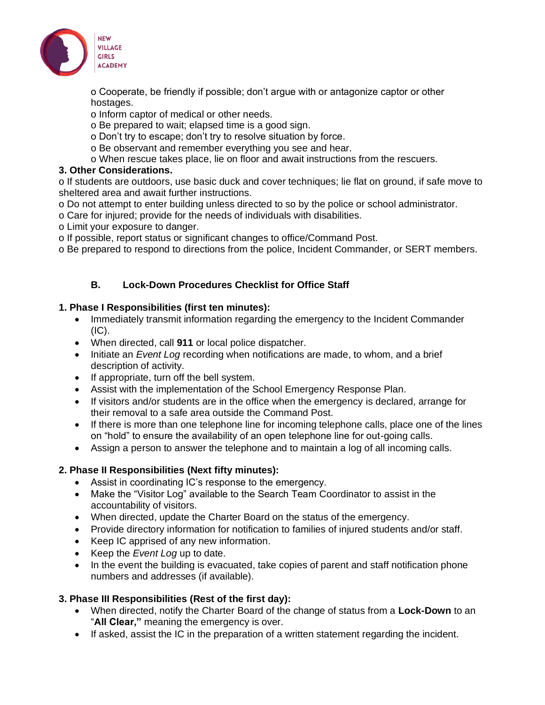

o Cooperate, be friendly if possible; don't argue with or antagonize captor or other hostages.

- o Inform captor of medical or other needs.
- o Be prepared to wait; elapsed time is a good sign.
- o Don't try to escape; don't try to resolve situation by force.
- o Be observant and remember everything you see and hear.
- o When rescue takes place, lie on floor and await instructions from the rescuers.

#### **3. Other Considerations.**

o If students are outdoors, use basic duck and cover techniques; lie flat on ground, if safe move to sheltered area and await further instructions.

- o Do not attempt to enter building unless directed to so by the police or school administrator.
- o Care for injured; provide for the needs of individuals with disabilities.
- o Limit your exposure to danger.
- o If possible, report status or significant changes to office/Command Post.
- o Be prepared to respond to directions from the police, Incident Commander, or SERT members.

#### **B. Lock-Down Procedures Checklist for Office Staff**

#### <span id="page-12-0"></span>**1. Phase I Responsibilities (first ten minutes):**

- Immediately transmit information regarding the emergency to the Incident Commander  $(IC).$
- When directed, call **911** or local police dispatcher.
- Initiate an *Event Log* recording when notifications are made, to whom, and a brief description of activity.
- If appropriate, turn off the bell system.
- Assist with the implementation of the School Emergency Response Plan.
- If visitors and/or students are in the office when the emergency is declared, arrange for their removal to a safe area outside the Command Post.
- If there is more than one telephone line for incoming telephone calls, place one of the lines on "hold" to ensure the availability of an open telephone line for out-going calls.
- Assign a person to answer the telephone and to maintain a log of all incoming calls.

## **2. Phase II Responsibilities (Next fifty minutes):**

- Assist in coordinating IC's response to the emergency.
- Make the "Visitor Log" available to the Search Team Coordinator to assist in the accountability of visitors.
- When directed, update the Charter Board on the status of the emergency.
- Provide directory information for notification to families of injured students and/or staff.
- Keep IC apprised of any new information.
- Keep the *Event Log* up to date.
- In the event the building is evacuated, take copies of parent and staff notification phone numbers and addresses (if available).

## **3. Phase III Responsibilities (Rest of the first day):**

- When directed, notify the Charter Board of the change of status from a **Lock-Down** to an "**All Clear,"** meaning the emergency is over.
- If asked, assist the IC in the preparation of a written statement regarding the incident.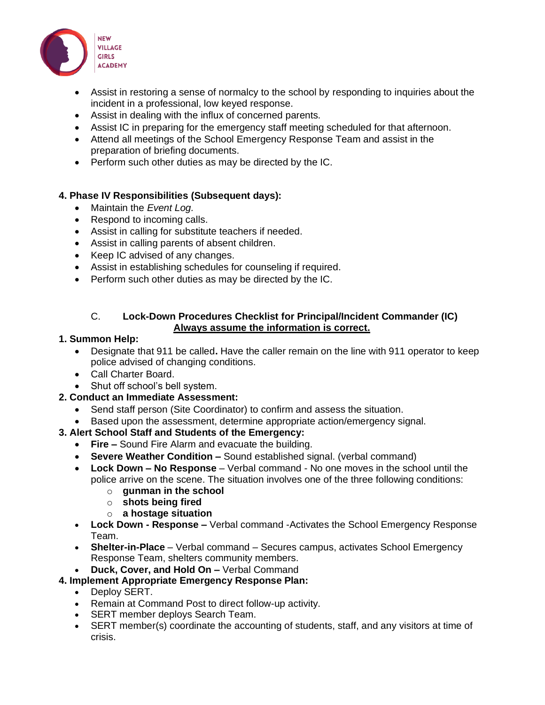

- Assist in restoring a sense of normalcy to the school by responding to inquiries about the incident in a professional, low keyed response.
- Assist in dealing with the influx of concerned parents.
- Assist IC in preparing for the emergency staff meeting scheduled for that afternoon.
- Attend all meetings of the School Emergency Response Team and assist in the preparation of briefing documents.
- Perform such other duties as may be directed by the IC.

## **4. Phase IV Responsibilities (Subsequent days):**

- Maintain the *Event Log.*
- Respond to incoming calls.
- Assist in calling for substitute teachers if needed.
- Assist in calling parents of absent children.
- Keep IC advised of any changes.
- Assist in establishing schedules for counseling if required.
- Perform such other duties as may be directed by the IC.

#### C. **Lock-Down Procedures Checklist for Principal/Incident Commander (IC) Always assume the information is correct.**

#### <span id="page-13-0"></span>**1. Summon Help:**

- Designate that 911 be called**.** Have the caller remain on the line with 911 operator to keep police advised of changing conditions.
- Call Charter Board.
- Shut off school's bell system.

## **2. Conduct an Immediate Assessment:**

- Send staff person (Site Coordinator) to confirm and assess the situation.
- Based upon the assessment, determine appropriate action/emergency signal.

## **3. Alert School Staff and Students of the Emergency:**

- **Fire –** Sound Fire Alarm and evacuate the building.
- **Severe Weather Condition –** Sound established signal. (verbal command)
- **Lock Down – No Response**  Verbal command No one moves in the school until the police arrive on the scene. The situation involves one of the three following conditions:
	- o **gunman in the school**
	- o **shots being fired**
	- o **a hostage situation**
- **Lock Down - Response –** Verbal command -Activates the School Emergency Response Team.
- **Shelter-in-Place** Verbal command Secures campus, activates School Emergency Response Team, shelters community members.
- **Duck, Cover, and Hold On –** Verbal Command

## **4. Implement Appropriate Emergency Response Plan:**

- Deploy SERT.
- Remain at Command Post to direct follow-up activity.
- SERT member deploys Search Team.
- SERT member(s) coordinate the accounting of students, staff, and any visitors at time of crisis.